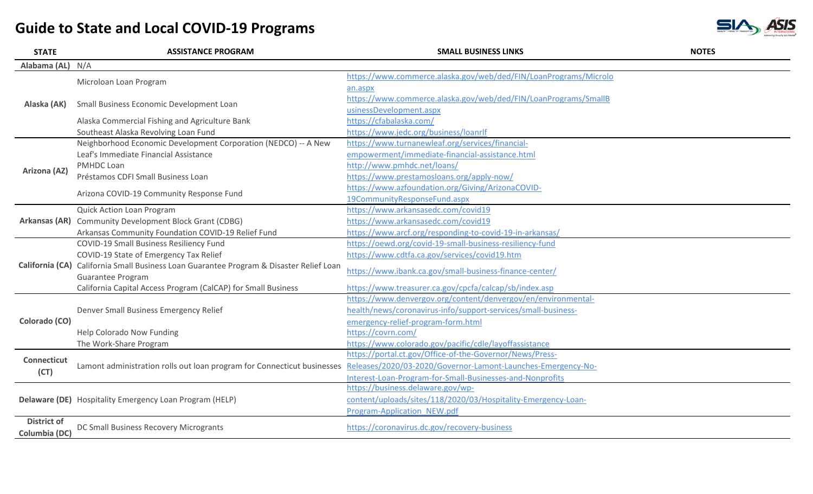| <b>STATE</b>       | <b>ASSISTANCE PROGRAM</b>                                                                                                            | <b>SMALL BUSINESS LINKS</b>                                      | <b>NOTES</b> |
|--------------------|--------------------------------------------------------------------------------------------------------------------------------------|------------------------------------------------------------------|--------------|
| Alabama (AL)       | N/A                                                                                                                                  |                                                                  |              |
|                    | Microloan Loan Program                                                                                                               | https://www.commerce.alaska.gov/web/ded/FIN/LoanPrograms/Microlo |              |
|                    |                                                                                                                                      | an.aspx                                                          |              |
| Alaska (AK)        | Small Business Economic Development Loan                                                                                             | https://www.commerce.alaska.gov/web/ded/FIN/LoanPrograms/SmallB  |              |
|                    |                                                                                                                                      | usinessDevelopment.aspx                                          |              |
|                    | Alaska Commercial Fishing and Agriculture Bank                                                                                       | https://cfabalaska.com/                                          |              |
|                    | Southeast Alaska Revolving Loan Fund                                                                                                 | https://www.jedc.org/business/loanrlf                            |              |
|                    | Neighborhood Economic Development Corporation (NEDCO) -- A New                                                                       | https://www.turnanewleaf.org/services/financial-                 |              |
|                    | Leaf's Immediate Financial Assistance                                                                                                | empowerment/immediate-financial-assistance.html                  |              |
| Arizona (AZ)       | <b>PMHDC Loan</b>                                                                                                                    | http://www.pmhdc.net/loans/                                      |              |
|                    | Préstamos CDFI Small Business Loan                                                                                                   | https://www.prestamosloans.org/apply-now/                        |              |
|                    | Arizona COVID-19 Community Response Fund                                                                                             | https://www.azfoundation.org/Giving/ArizonaCOVID-                |              |
|                    |                                                                                                                                      | 19CommunityResponseFund.aspx                                     |              |
|                    | Quick Action Loan Program                                                                                                            | https://www.arkansasedc.com/covid19                              |              |
|                    | Arkansas (AR) Community Development Block Grant (CDBG)                                                                               | https://www.arkansasedc.com/covid19                              |              |
|                    | Arkansas Community Foundation COVID-19 Relief Fund                                                                                   | https://www.arcf.org/responding-to-covid-19-in-arkansas/         |              |
|                    | COVID-19 Small Business Resiliency Fund                                                                                              | https://oewd.org/covid-19-small-business-resiliency-fund         |              |
|                    | COVID-19 State of Emergency Tax Relief                                                                                               | https://www.cdtfa.ca.gov/services/covid19.htm                    |              |
|                    | California (CA) California Small Business Loan Guarantee Program & Disaster Relief Loan                                              | https://www.ibank.ca.gov/small-business-finance-center/          |              |
|                    | Guarantee Program                                                                                                                    |                                                                  |              |
|                    | California Capital Access Program (CalCAP) for Small Business                                                                        | https://www.treasurer.ca.gov/cpcfa/calcap/sb/index.asp           |              |
|                    | Denver Small Business Emergency Relief                                                                                               | https://www.denvergov.org/content/denvergov/en/environmental-    |              |
|                    |                                                                                                                                      | health/news/coronavirus-info/support-services/small-business-    |              |
| Colorado (CO)      |                                                                                                                                      | emergency-relief-program-form.html                               |              |
|                    | Help Colorado Now Funding                                                                                                            | https://covrn.com/                                               |              |
|                    | The Work-Share Program                                                                                                               | https://www.colorado.gov/pacific/cdle/layoffassistance           |              |
| <b>Connecticut</b> | Lamont administration rolls out loan program for Connecticut businesses Releases/2020/03-2020/Governor-Lamont-Launches-Emergency-No- | https://portal.ct.gov/Office-of-the-Governor/News/Press-         |              |
| (CT)               |                                                                                                                                      |                                                                  |              |
|                    |                                                                                                                                      | Interest-Loan-Program-for-Small-Businesses-and-Nonprofits        |              |
|                    | Delaware (DE) Hospitality Emergency Loan Program (HELP)                                                                              | https://business.delaware.gov/wp-                                |              |
|                    |                                                                                                                                      | content/uploads/sites/118/2020/03/Hospitality-Emergency-Loan-    |              |
|                    |                                                                                                                                      | Program-Application NEW.pdf                                      |              |
| <b>District of</b> | DC Small Business Recovery Microgrants                                                                                               | https://coronavirus.dc.gov/recovery-business                     |              |
| Columbia (DC)      |                                                                                                                                      |                                                                  |              |

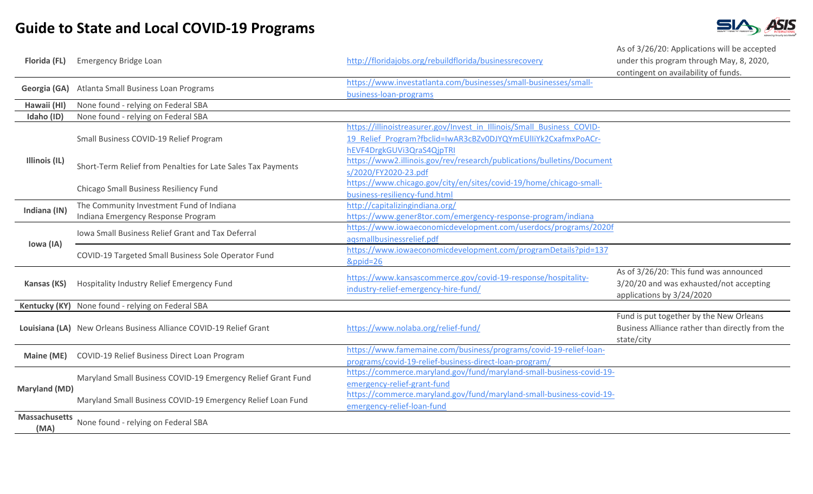

| Florida (FL)                 | <b>Emergency Bridge Loan</b>                                       | http://floridajobs.org/rebuildflorida/businessrecovery                                                                                                               | As of 3/26/20: Applications will be accepted<br>under this program through May, 8, 2020,<br>contingent on availability of funds. |
|------------------------------|--------------------------------------------------------------------|----------------------------------------------------------------------------------------------------------------------------------------------------------------------|----------------------------------------------------------------------------------------------------------------------------------|
| Georgia (GA)                 | Atlanta Small Business Loan Programs                               | https://www.investatlanta.com/businesses/small-businesses/small-<br>business-loan-programs                                                                           |                                                                                                                                  |
| Hawaii (HI)                  | None found - relying on Federal SBA                                |                                                                                                                                                                      |                                                                                                                                  |
| Idaho (ID)                   | None found - relying on Federal SBA                                |                                                                                                                                                                      |                                                                                                                                  |
| Illinois (IL)                | Small Business COVID-19 Relief Program                             | https://illinoistreasurer.gov/Invest in Illinois/Small Business COVID-<br>19 Relief Program?fbclid=IwAR3cBZv0DJYQYmEUlIiYk2CxafmxPoACr-<br>hEVF4DrgkGUVi3QraS4QjpTRI |                                                                                                                                  |
|                              | Short-Term Relief from Penalties for Late Sales Tax Payments       | https://www2.illinois.gov/rev/research/publications/bulletins/Document<br>s/2020/FY2020-23.pdf                                                                       |                                                                                                                                  |
|                              | Chicago Small Business Resiliency Fund                             | https://www.chicago.gov/city/en/sites/covid-19/home/chicago-small-<br>business-resiliency-fund.html                                                                  |                                                                                                                                  |
| Indiana (IN)                 | The Community Investment Fund of Indiana                           | http://capitalizingindiana.org/                                                                                                                                      |                                                                                                                                  |
|                              | Indiana Emergency Response Program                                 | https://www.gener8tor.com/emergency-response-program/indiana                                                                                                         |                                                                                                                                  |
| Iowa (IA)                    | Iowa Small Business Relief Grant and Tax Deferral                  | https://www.iowaeconomicdevelopment.com/userdocs/programs/2020f<br>agsmallbusinessrelief.pdf                                                                         |                                                                                                                                  |
|                              | COVID-19 Targeted Small Business Sole Operator Fund                | https://www.iowaeconomicdevelopment.com/programDetails?pid=137<br>&ppid=26                                                                                           |                                                                                                                                  |
| Kansas (KS)                  | Hospitality Industry Relief Emergency Fund                         | https://www.kansascommerce.gov/covid-19-response/hospitality-<br>industry-relief-emergency-hire-fund/                                                                | As of 3/26/20: This fund was announced<br>3/20/20 and was exhausted/not accepting<br>applications by 3/24/2020                   |
|                              | Kentucky (KY) None found - relying on Federal SBA                  |                                                                                                                                                                      |                                                                                                                                  |
|                              | Louisiana (LA) New Orleans Business Alliance COVID-19 Relief Grant | https://www.nolaba.org/relief-fund/                                                                                                                                  | Fund is put together by the New Orleans<br>Business Alliance rather than directly from the<br>state/city                         |
| Maine (ME)                   | COVID-19 Relief Business Direct Loan Program                       | https://www.famemaine.com/business/programs/covid-19-relief-loan-<br>programs/covid-19-relief-business-direct-loan-program/                                          |                                                                                                                                  |
| <b>Maryland (MD)</b>         | Maryland Small Business COVID-19 Emergency Relief Grant Fund       | https://commerce.maryland.gov/fund/maryland-small-business-covid-19-<br>emergency-relief-grant-fund                                                                  |                                                                                                                                  |
|                              | Maryland Small Business COVID-19 Emergency Relief Loan Fund        | https://commerce.maryland.gov/fund/maryland-small-business-covid-19-<br>emergency-relief-loan-fund                                                                   |                                                                                                                                  |
| <b>Massachusetts</b><br>(MA) | None found - relying on Federal SBA                                |                                                                                                                                                                      |                                                                                                                                  |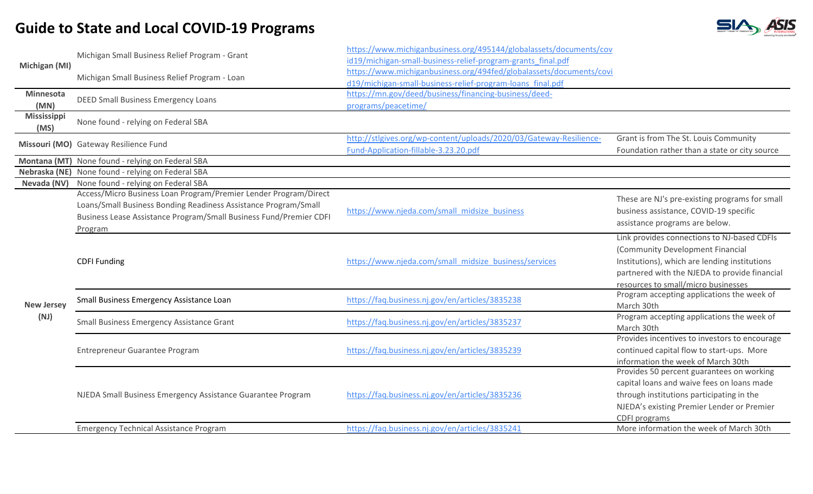

|                     | Michigan Small Business Relief Program - Grant                                                                                                                                                            | https://www.michiganbusiness.org/495144/globalassets/documents/cov<br>id19/michigan-small-business-relief-program-grants_final.pdf |                                                                                                                                                                                                     |
|---------------------|-----------------------------------------------------------------------------------------------------------------------------------------------------------------------------------------------------------|------------------------------------------------------------------------------------------------------------------------------------|-----------------------------------------------------------------------------------------------------------------------------------------------------------------------------------------------------|
| Michigan (MI)       | Michigan Small Business Relief Program - Loan                                                                                                                                                             | https://www.michiganbusiness.org/494fed/globalassets/documents/covi<br>d19/michigan-small-business-relief-program-loans final.pdf  |                                                                                                                                                                                                     |
| Minnesota<br>(MN)   | <b>DEED Small Business Emergency Loans</b>                                                                                                                                                                | https://mn.gov/deed/business/financing-business/deed-<br>programs/peacetime/                                                       |                                                                                                                                                                                                     |
| Mississippi<br>(MS) | None found - relying on Federal SBA                                                                                                                                                                       |                                                                                                                                    |                                                                                                                                                                                                     |
|                     | Missouri (MO) Gateway Resilience Fund                                                                                                                                                                     | http://stlgives.org/wp-content/uploads/2020/03/Gateway-Resilience-<br>Fund-Application-fillable-3.23.20.pdf                        | Grant is from The St. Louis Community<br>Foundation rather than a state or city source                                                                                                              |
|                     | Montana (MT) None found - relying on Federal SBA                                                                                                                                                          |                                                                                                                                    |                                                                                                                                                                                                     |
|                     | Nebraska (NE) None found - relying on Federal SBA                                                                                                                                                         |                                                                                                                                    |                                                                                                                                                                                                     |
| Nevada (NV)         | None found - relying on Federal SBA                                                                                                                                                                       |                                                                                                                                    |                                                                                                                                                                                                     |
|                     | Access/Micro Business Loan Program/Premier Lender Program/Direct<br>Loans/Small Business Bonding Readiness Assistance Program/Small<br>Business Lease Assistance Program/Small Business Fund/Premier CDFI | https://www.njeda.com/small midsize business                                                                                       | These are NJ's pre-existing programs for small<br>business assistance, COVID-19 specific<br>assistance programs are below.                                                                          |
|                     | Program                                                                                                                                                                                                   |                                                                                                                                    | Link provides connections to NJ-based CDFIs                                                                                                                                                         |
|                     | <b>CDFI Funding</b>                                                                                                                                                                                       | https://www.njeda.com/small_midsize_business/services                                                                              | (Community Development Financial<br>Institutions), which are lending institutions<br>partnered with the NJEDA to provide financial<br>resources to small/micro businesses                           |
| <b>New Jersey</b>   | Small Business Emergency Assistance Loan                                                                                                                                                                  | https://faq.business.nj.gov/en/articles/3835238                                                                                    | Program accepting applications the week of<br>March 30th                                                                                                                                            |
| (NJ)                | Small Business Emergency Assistance Grant                                                                                                                                                                 | https://faq.business.nj.gov/en/articles/3835237                                                                                    | Program accepting applications the week of<br>March 30th                                                                                                                                            |
|                     | Entrepreneur Guarantee Program                                                                                                                                                                            | https://faq.business.nj.gov/en/articles/3835239                                                                                    | Provides incentives to investors to encourage<br>continued capital flow to start-ups. More<br>information the week of March 30th                                                                    |
|                     | NJEDA Small Business Emergency Assistance Guarantee Program                                                                                                                                               | https://faq.business.nj.gov/en/articles/3835236                                                                                    | Provides 50 percent guarantees on working<br>capital loans and waive fees on loans made<br>through institutions participating in the<br>NJEDA's existing Premier Lender or Premier<br>CDFI programs |
|                     | <b>Emergency Technical Assistance Program</b>                                                                                                                                                             | https://faq.business.nj.gov/en/articles/3835241                                                                                    | More information the week of March 30th                                                                                                                                                             |
|                     |                                                                                                                                                                                                           |                                                                                                                                    |                                                                                                                                                                                                     |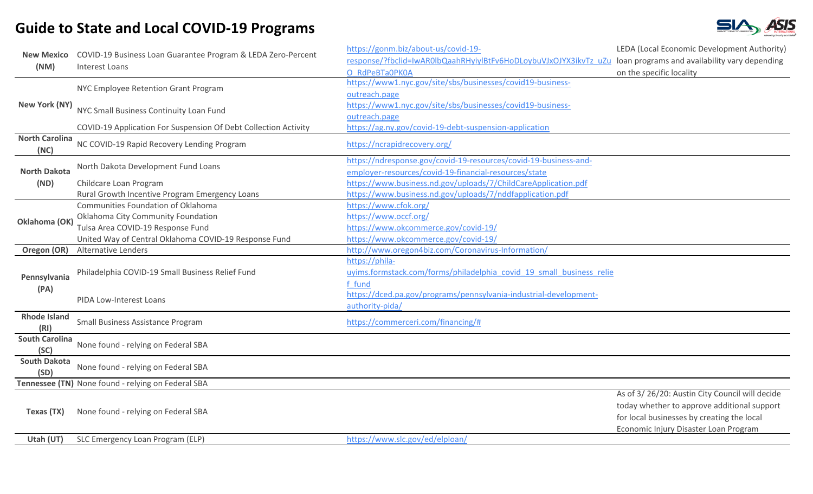

| <b>New Mexico</b><br>(NM)     | COVID-19 Business Loan Guarantee Program & LEDA Zero-Percent<br><b>Interest Loans</b> | https://gonm.biz/about-us/covid-19-<br>response/?fbclid=IwAR0lbQaahRHyiylBtFv6HoDLoybuVJxOJYX3ikvTz_uZu_loan programs and availability vary depending<br>O RdPeBTa0PK0A | LEDA (Local Economic Development Authority)<br>on the specific locality                                                                                                              |
|-------------------------------|---------------------------------------------------------------------------------------|-------------------------------------------------------------------------------------------------------------------------------------------------------------------------|--------------------------------------------------------------------------------------------------------------------------------------------------------------------------------------|
| New York (NY)                 | NYC Employee Retention Grant Program                                                  | https://www1.nyc.gov/site/sbs/businesses/covid19-business-<br>outreach.page                                                                                             |                                                                                                                                                                                      |
|                               | NYC Small Business Continuity Loan Fund                                               | https://www1.nyc.gov/site/sbs/businesses/covid19-business-<br>outreach.page                                                                                             |                                                                                                                                                                                      |
|                               | COVID-19 Application For Suspension Of Debt Collection Activity                       | https://ag.ny.gov/covid-19-debt-suspension-application                                                                                                                  |                                                                                                                                                                                      |
| <b>North Carolina</b><br>(NC) | NC COVID-19 Rapid Recovery Lending Program                                            | https://ncrapidrecovery.org/                                                                                                                                            |                                                                                                                                                                                      |
| <b>North Dakota</b>           | North Dakota Development Fund Loans                                                   | https://ndresponse.gov/covid-19-resources/covid-19-business-and-<br>employer-resources/covid-19-financial-resources/state                                               |                                                                                                                                                                                      |
| (ND)                          | Childcare Loan Program                                                                | https://www.business.nd.gov/uploads/7/ChildCareApplication.pdf                                                                                                          |                                                                                                                                                                                      |
|                               | Rural Growth Incentive Program Emergency Loans                                        | https://www.business.nd.gov/uploads/7/nddfapplication.pdf                                                                                                               |                                                                                                                                                                                      |
|                               | Communities Foundation of Oklahoma                                                    | https://www.cfok.org/                                                                                                                                                   |                                                                                                                                                                                      |
| Oklahoma (OK)                 | Oklahoma City Community Foundation                                                    | https://www.occf.org/                                                                                                                                                   |                                                                                                                                                                                      |
|                               | Tulsa Area COVID-19 Response Fund                                                     | https://www.okcommerce.gov/covid-19/                                                                                                                                    |                                                                                                                                                                                      |
|                               | United Way of Central Oklahoma COVID-19 Response Fund                                 | https://www.okcommerce.gov/covid-19/                                                                                                                                    |                                                                                                                                                                                      |
| Oregon (OR)                   | <b>Alternative Lenders</b>                                                            | http://www.oregon4biz.com/Coronavirus-Information/                                                                                                                      |                                                                                                                                                                                      |
| Pennsylvania<br>(PA)          | Philadelphia COVID-19 Small Business Relief Fund                                      | https://phila-<br>uyims.formstack.com/forms/philadelphia covid 19 small business relie<br>f fund                                                                        |                                                                                                                                                                                      |
|                               | PIDA Low-Interest Loans                                                               | https://dced.pa.gov/programs/pennsylvania-industrial-development-<br>authority-pida/                                                                                    |                                                                                                                                                                                      |
| <b>Rhode Island</b><br>(RI)   | Small Business Assistance Program                                                     | https://commerceri.com/financing/#                                                                                                                                      |                                                                                                                                                                                      |
| <b>South Carolina</b><br>(SC) | None found - relying on Federal SBA                                                   |                                                                                                                                                                         |                                                                                                                                                                                      |
| <b>South Dakota</b><br>(SD)   | None found - relying on Federal SBA                                                   |                                                                                                                                                                         |                                                                                                                                                                                      |
|                               | Tennessee (TN) None found - relying on Federal SBA                                    |                                                                                                                                                                         |                                                                                                                                                                                      |
| Texas (TX)                    | None found - relying on Federal SBA                                                   |                                                                                                                                                                         | As of 3/26/20: Austin City Council will decide<br>today whether to approve additional support<br>for local businesses by creating the local<br>Economic Injury Disaster Loan Program |
| Utah (UT)                     | SLC Emergency Loan Program (ELP)                                                      | https://www.slc.gov/ed/elploan/                                                                                                                                         |                                                                                                                                                                                      |